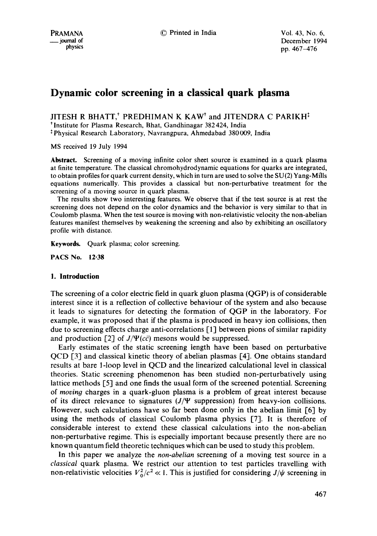# **Dynamic color screening in a classical quark plasma**

JITESH R BHATT,<sup>†</sup> PREDHIMAN K KAW<sup>†</sup> and JITENDRA C PARIKH<sup>‡</sup>

t Institute for Plasma Research, Bhat, Gandhinagar 382 424, India

<sup>‡</sup> Physical Research Laboratory, Navrangpura, Ahmedabad 380009, India

MS received 19 July 1994

**Abstract.** Screening of a moving infinite color sheet source is examined in a quark plasma at finite temperature. The classical chromohydrodynamic equations for quarks are integrated, to obtain profiles for quark current density, which in turn are used to solve the SU(2) Yang-Mfils equations numerically. This provides a classical but non-perturbative treatment for the screening of a moving source in quark plasma.

The results show two interesting features. We observe that if the test source is at rest the screening does not depend on the color dynamics and the behavior is very similar to that in Coulomb plasma. When the test source is moving with non-relativistic velocity the non-abelian features manifest themselves by weakening the screening and also by exhibiting an oscillatory profile with distance.

Keywords. Quark plasma; color screening.

**PACS No. 12.38** 

## **1. Introduction**

The screening of a color electric field in quark gluon plasma (QGP) is of considerable interest since it is a reflection of collective behaviour of the system and also because it leads to signatures for detecting the formation of QGP in the laboratory. For example, it was proposed that if the plasma is produced in heavy ion collisions, then due to screening effects charge anti-correlations [1] between pions of similar rapidity and production  $\lceil 2 \rceil$  of  $J/\Psi(c\bar{c})$  mesons would be suppressed.

Early estimates of the static screening length have been based on perturbative  $QCD$  [3] and classical kinetic theory of abelian plasmas  $[4]$ . One obtains standard results at bare l-loop level in QCD and the linearized calculational level in classical theories. Static screening phenomenon has been studied non-perturbatively using lattice methods [5] and one finds the usual form of the screened potential. Screening of *rnovin9* charges in a quark-gluon plasma is a problem of great interest because of its direct relevance to signatures  $(J/\Psi)$  suppression) from heavy-ion collisions. However, such calculations have so far been done only in the abelian limit [6] by using the methods of classical Coulomb plasma physics [7]. It is therefore of considerable interest to extend these classical calculations into the non-abelian non-perturbative regime. This is especially important because presently there are no known quantum field theoretic techniques which can be used to study this problem.

In this paper we analyze the *non-abelian* screening of a moving test source in a *classical* quark plasma. We restrict our attention to test particles travelling with non-relativistic velocities  $V_0^2/c^2 \ll 1$ . This is justified for considering  $J/\psi$  screening in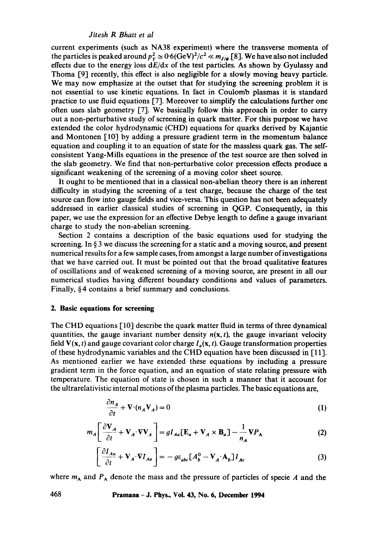current experiments (such as NA38 experiment) where the transverse momenta of the particles is peaked around  $p_T^2 \simeq 0.6(\text{GeV})^2/c^2 \ll m_{I/\psi}$  [8]. We have also not included effects due to the energy loss *dE/dx* of the test particles. As shown by Gyulassy and Thoma [9] recently, this effect is also negligible for a slowly moving heavy particle. We may now emphasize at the outset that for studying the screening problem it is not essential to use kinetic equations. In fact in Coulomb plasmas it is standard practice to use fluid equations [7]. Moreover to simplify the calculations further one often uses slab geometry [7]. We basically follow this approach in order to carry out a non-perturbative study of screening in quark matter. For this purpose we have extended the color hydrodynamic (CHD) equations for quarks derived by Kajantie and Montonen  $\lceil 10 \rceil$  by adding a pressure gradient term in the momentum balance equation and coupling it to an equation of state for the massless quark gas. The selfconsistent Yang-Mills equations in the presence of the test source are then solved in the slab geometry. We find that non-perturbative color precession effects produce a significant weakening of the screening of a moving color sheet source.

It ought to be mentioned that in a classical non-abelian theory there is an inherent difficulty in studying the screening of a test charge, because the charge of the test source can flow into gauge fields and vice-versa. This question has not been adequately addressed in earlier classical studies of screening in QGP. Consequently, in this paper, we use the expression for an effective Debye length to define a gauge invariant charge to study the non-abelian screening.

Section 2 contains a description of the basic equations used for studying the screening. In  $\S$  3 we discuss the screening for a static and a moving source, and present numerical results for a few sample cases, from amongst a large number of investigations that we have carried out. It must be pointed out that the broad qualitative features of oscillations and of weakened screening of a moving source, are present in all our numerical studies having different boundary conditions and values of parameters. Finally, § 4 contains a brief summary and conclusions.

## **2. Basic equations for screening**

The CHD equations [10] describe the quark matter fluid in terms of three dynamical quantities, the gauge invariant number density  $n(x, t)$ , the gauge invariant velocity field  $V(x, t)$  and gauge covariant color charge  $I_a(x, t)$ . Gauge transformation properties of these hydrodynamic variables and the CHD equation have been discussed in [11]. As mentioned earlier we have extended these equations by including a pressure gradient term in the force equation, and an equation of state relating pressure with temperature. The equation of state is chosen in such a manner that it account for the ultrarelativistic internal motions of the plasma particles. The basic equations are,

$$
\frac{\partial n_A}{\partial t} + \nabla \cdot (n_A \mathbf{V}_A) = 0 \tag{1}
$$

$$
m_A \left[ \frac{\partial \mathbf{V}_A}{\partial t} + \mathbf{V}_A \cdot \nabla \mathbf{V}_A \right] = g I_{Aa} \left[ \mathbf{E}_a + \mathbf{V}_A \times \mathbf{B}_a \right] - \frac{1}{n_A} \nabla P_A \tag{2}
$$

$$
\left[\frac{\partial I_{Aa}}{\partial t} + \mathbf{V}_A \cdot \nabla I_{Aa}\right] = -g\varepsilon_{abc} \left[A_b^0 - \mathbf{V}_A \cdot \mathbf{A}_b\right] I_{Ac}
$$
 (3)

where  $m_A$  and  $P_A$  denote the mass and the pressure of particles of specie A and the

**468 Pramana - J. Phys., Vol. 43, No. 6, December 1994**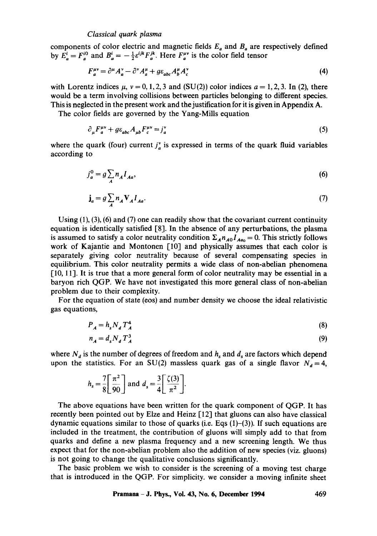components of color electric and magnetic fields  $E_a$  and  $B_a$  are respectively defined by  $E_a^i = F_a^{i0}$  and  $B_a^i = -\frac{1}{2} \varepsilon^{ijk} F_a^{jk}$ . Here  $F_a^{i0}$  is the color field tensor

$$
F_a^{\mu\nu} = \partial^\mu A_a^\nu - \partial^\nu A_a^\mu + g \varepsilon_{abc} A_b^\mu A_c^\nu \tag{4}
$$

with Lorentz indices  $\mu$ ,  $\nu = 0, 1, 2, 3$  and (SU(2)) color indices  $a = 1, 2, 3$ . In (2), there would be a term involving collisions between particles belonging to different species. This is neglected in the present work and the justification for it is given in Appendix A.

The color fields are governed by the Yang-Mills equation

$$
\partial_{\mu} F_{a}^{\mu\nu} + g \varepsilon_{abc} A_{\mu b} F_{c}^{\mu\nu} = j_{a}^{\nu} \tag{5}
$$

where the quark (four) current  $j_a^{\nu}$  is expressed in terms of the quark fluid variables according to

$$
j_a^0 = g \sum_A n_A I_{Aa},\tag{6}
$$

$$
\mathbf{j}_a = g \sum_A n_A \mathbf{V}_A I_{Aa}.\tag{7}
$$

Using  $(1)$ ,  $(3)$ ,  $(6)$  and  $(7)$  one can readily show that the covariant current continuity equation is identically satisfied [8]. In the absence of any perturbations, the plasma is assumed to satisfy a color neutrality condition  $\Sigma_A n_{A0} I_{Aa_0} = 0$ . This strictly follows work of Kajantie and Montonen [10] and physically assumes that each color is separately giving color neutrality because of several compensating species in equilibrium. This color neutrality permits a wide class of non-abelian phenomena [10, 11]. It is true that a more general form of color neutrality may be essential in a baryon rich QGP. We have not investigated this more general class of non-abelian problem due to their complexity.

For the equation of state (eos) and number density we choose the ideal relativistic gas equations,

$$
P_A = h_s N_d T_A^4 \tag{8}
$$

$$
n_A = d_s N_d T_A^3 \tag{9}
$$

where  $N_d$  is the number of degrees of freedom and  $h_s$  and  $d_s$  are factors which depend upon the statistics. For an SU(2) massless quark gas of a single flavor  $N_d = 4$ ,

$$
h_s = \frac{7}{8} \left[ \frac{\pi^2}{90} \right] \text{ and } d_s = \frac{3}{4} \left[ \frac{\zeta(3)}{\pi^2} \right].
$$

The above equations have been written for the quark component of QGP. It has recently been pointed out by Elze and Heinz [12] that gluons can also have classical dynamic equations similar to those of quarks (i.e. Eqs  $(1)-(3)$ ). If such equations are included in the treatment, the contribution of gluons will simply add to that from quarks and define a new plasma frequency and a new screening length. We thus expect that for the non-abelian problem also the addition of new species (viz. gluons) is not going to change the qualitative conclusions significantly.

The basic problem we wish to consider is the screening of a moving test charge that is introduced in the QGP. For simplicity, we consider a moving infinite sheet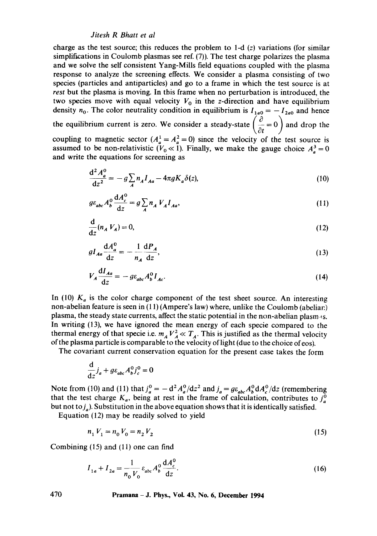charge as the test source; this reduces the problem to  $1-d(z)$  variations (for similar simplifications in Coulomb plasmas see ref. (7)). The test charge polarizes the plasma and we solve the self consistent Yang-Mills field equations coupled with the plasma response to analyze the screening effects. We consider a plasma consisting of two species (particles and antiparticles) and go to a frame in which the test source is at *rest* but the plasma is moving. In this frame when no perturbation is introduced, the two species move with equal velocity  $V_0$  in the z-direction and have equilibrium density  $n_0$ . The color neutrality condition in equilibrium is  $I_{1a0} = -I_{2a0}$  and hence the equilibrium current is zero. We consider a steady-state  $\left(\frac{\partial}{\partial t} = 0\right)$  and drop the coupling to magnetic sector  $(A_a^1 = A_a^2 = 0)$  since the velocity of the test source is assumed to be non-relativistic  $(\nu_0 \ll 1)$ . Finally, we make the gauge choice  $A_a^3 = 0$ and write the equations for screening as

$$
\frac{\mathrm{d}^2 A_a^0}{\mathrm{d}z^2} = -g \sum_A n_A I_{Aa} - 4\pi g K_a \delta(z),\tag{10}
$$

$$
g\varepsilon_{abc}A_b^0\frac{\mathrm{d}A_c^0}{\mathrm{d}z}=g\sum_A n_A V_A I_{Aa},\qquad(11)
$$

$$
\frac{\mathrm{d}}{\mathrm{d}z}(n_A V_A) = 0,\tag{12}
$$

$$
gI_{Aa}\frac{\mathrm{d}A_{a}^{0}}{\mathrm{d}z} = -\frac{1}{n_{A}}\frac{\mathrm{d}P_{A}}{\mathrm{d}z},\tag{13}
$$

$$
V_A \frac{\mathrm{d}I_{Aa}}{\mathrm{d}z} = -g \varepsilon_{abc} A_b^0 I_{Ac}.\tag{14}
$$

In (10)  $K_a$  is the color charge component of the test sheet source. An interesting non-abelian feature is seen in (11) (Ampere's law) where, unlike the Coulomb (abeliar) plasma, the steady state currents, affect the static potential in the non-abelian plasm  $\triangleleft$ s. In writing (13), we have ignored the mean energy of each specie compared to the thermal energy of that specie i.e.  $m_A V_A^2 \ll T_A$ . This is justified as the thermal velocity of the plasma particle is comparable to the velocity of light (due to the choice of eos).

The covariant current conservation equation for the present case takes the form

$$
\frac{\mathrm{d}}{\mathrm{d}z}j_a + g\varepsilon_{abc}A_b^0j_c^0 = 0
$$

Note from (10) and (11) that  $j_a^0 = -d^2 A_a^0 / dz^2$  and  $j_a = g \epsilon_{abc} A_b^0 d A_c^0 / dz$  (remembering that the test charge  $K_a$ , being at rest in the frame of calculation, contributes to  $j_a^0$ but not to  $j_a$ ). Substitution in the above equation shows that it is identically satisfied.

Equation (12) may be readily solved to yield

$$
n_1 V_1 = n_0 V_0 = n_2 V_2 \tag{15}
$$

Combining (15) and (11) one can find

$$
I_{1a} + I_{2a} = \frac{1}{n_0 V_0} \varepsilon_{abc} A_b^0 \frac{dA_c^0}{dz}.
$$
 (16)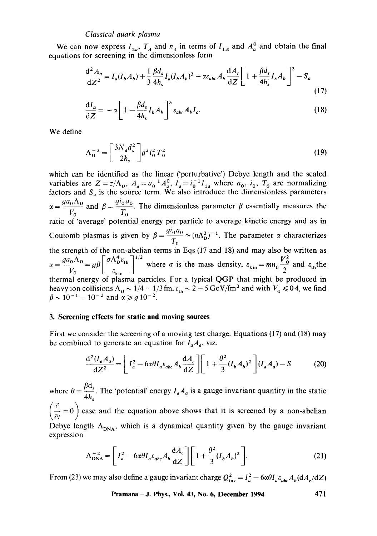We can now express  $I_{2a}$ ,  $T_A$  and  $n_A$  in terms of  $I_{1A}$ equations for screening in the dimensionless form and  $A_a^0$  and obtain the final

$$
\frac{\mathrm{d}^2 A_a}{\mathrm{d} Z^2} = I_a (I_b A_b) + \frac{1}{3} \frac{\beta d_s}{4h_s} I_a (I_b A_b)^3 - \alpha \varepsilon_{abc} A_b \frac{\mathrm{d} A_c}{\mathrm{d} Z} \left[ 1 + \frac{\beta d_s}{4h_s} I_s A_b \right]^3 - S_a \tag{17}
$$

$$
\frac{\mathrm{d}I_a}{\mathrm{d}Z} = -\alpha \left[ 1 - \frac{\beta d_s}{4h_s} I_b A_b \right]^3 \varepsilon_{abc} A_b I_c. \tag{18}
$$

We define

$$
\Lambda_D^{-2} = \left[\frac{3N_d d_s^2}{2h_s}\right] g^2 i_0^2 T_0^2 \tag{19}
$$

which can be identified as the linear ('perturbative') Debye length and the scaled variables are  $Z = z/\Lambda_p$ ,  $A_a = a_0^{-1} A_a^0$ ,  $I_a = i_0^{-1} I_{1a}$  where  $a_0$ ,  $i_0$ ,  $T_0$  are normalizing factors and  $S_a$  is the source term. We also introduce the dimensionless parameters  $=\frac{g a_0 \Lambda_D}{V_0}$  and  $\beta = \frac{g l_0 a_0}{T_0}$ . The dimensionless parameter  $\beta$  essentially measures the ratio of 'average' potential energy per particle to average kinetic energy and as in Coulomb plasmas is given by  $\beta = \frac{9.6 \cdot 6}{T_0} \approx (n\Lambda_D^3)^{-1}$ . The parameter  $\alpha$  characterizes the strength of the non-abelian terms in Eqs (17 and 18) and may also be written as  $\frac{g a_0 \Lambda_p}{V_0} = g \beta \left[ \frac{\sigma \Lambda_p^4 \varepsilon_{\text{th}}}{\varepsilon_{\text{kin}}} \right]^{1/2}$  where  $\sigma$  is the mass density,  $\varepsilon_{\text{kin}} = m n_0 \frac{V_0^2}{2}$  and  $\varepsilon_{\text{th}}$ the thermal energy of plasma particles. For a typical QGP that might be produced in heavy ion collisions  $\Lambda_p \sim 1/4 - 1/3$  fm,  $\varepsilon_{\rm th} \sim 2 - 5$  GeV/fm<sup>3</sup> and with  $V_{\rm o} \le 0.4$ , we find  $\beta \sim 10^{-1} - 10^{-2}$  and  $\alpha \ge g 10^{-2}$ .

## **3. Screening effects for static and moving sources**

First we consider the screening of a moving test charge. Equations (17) and (18) may be combined to generate an equation for  $I_a A_a$ , viz.

$$
\frac{\mathrm{d}^2(I_a A_a)}{\mathrm{d}Z^2} = \left[I_a^2 - 6\alpha\theta I_a \varepsilon_{abc} A_b \frac{\mathrm{d}A_c}{\mathrm{d}Z}\right] \left[1 + \frac{\theta^2}{3} (I_b A_b)^2\right] (I_a A_a) - S \tag{20}
$$

where  $\theta = \frac{r-s}{r}$ . The 'potential' energy  $I_aA_a$  is a gauge invariant quantity in the static  $4h_{\rm s}$  $\checkmark$  $\left(\frac{1}{\hat{c}t} = 0\right)$  case and the equation above shows that it is screened by a non-abelian Debye length  $\Lambda_{DNA}$ , which is a dynamical quantity given by the gauge invariant expression

$$
\Lambda_{\text{DNA}}^{-2} = \left[ I_a^2 - 6\alpha \theta I_a \varepsilon_{abc} A_b \frac{\mathrm{d}A_c}{\mathrm{d}Z} \right] \left[ 1 + \frac{\theta^2}{3} (I_b A_b)^2 \right]. \tag{21}
$$

From (23) we may also define a gauge invariant charge  $Q_{inv}^2 = I_a^2 - 6\alpha\theta I_a \epsilon_{abc} A_b(dA_c/dZ)$ 

**Pramana - J. Phys., Vol. 43, No. 6, December 1994 471**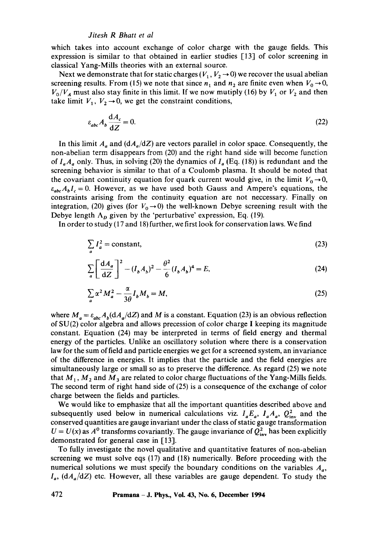which takes into account exchange of color charge with the gauge fields. This expression is similar to that obtained in earlier studies [13] of color screening in classical Yang-Mills theories with an external source.

Next we demonstrate that for static charges  $(V_1, V_2 \rightarrow 0)$  we recover the usual abelian screening results. From (15) we note that since  $n_1$  and  $n_2$  are finite even when  $V_0 \rightarrow 0$ ,  $V_0/V_A$  must also stay finite in this limit. If we now mutiply (16) by  $V_1$  or  $V_2$  and then take limit  $V_1$ ,  $V_2 \rightarrow 0$ , we get the constraint conditions,

$$
\varepsilon_{abc} A_b \frac{\mathrm{d}A_c}{\mathrm{d}Z} = 0. \tag{22}
$$

In this limit  $A_a$  and  $(dA_a/dZ)$  are vectors parallel in color space. Consequently, the non-abelian term disappears from (20) and the right hand side will become function of  $I_aA_a$  only. Thus, in solving (20) the dynamics of  $I_a$  (Eq. (18)) is redundant and the screening behavior is similar to that of a Coulomb plasma. It should be noted that the covariant continuity equation for quark current would give, in the limit  $V_0 \rightarrow 0$ ,  $\varepsilon_{abc}A_bI_c = 0$ . However, as we have used both Gauss and Ampere's equations, the constraints arising from the continuity equation are not neccessary. Finally on integration, (20) gives (for  $V_0 \rightarrow 0$ ) the well-known Debye screening result with the Debye length  $\Lambda_p$  given by the 'perturbative' expression, Eq. (19).

In order to study (17 and 18) further, we first look for conservation laws. We find

$$
\sum_{a} I_a^2 = \text{constant},\tag{23}
$$

$$
\sum_{a} \left[ \frac{\mathrm{d}A_a}{\mathrm{d}Z} \right]^2 - (I_b A_b)^2 - \frac{\theta^2}{6} (I_b A_b)^4 = E,\tag{24}
$$

$$
\sum_{a} \alpha^2 M_a^2 - \frac{\alpha}{3\theta} I_b M_b = M,\tag{25}
$$

where  $M_a = \varepsilon_{abc} A_b (dA_a/dZ)$  and M is a constant. Equation (23) is an obvious reflection of SU(2) color algebra and allows precession of color charge I keeping its magnitude constant. Equation (24) may be interpreted in terms of field energy and thermal energy of the particles. Unlike an oscillatory solution where there is a conservation law for the sum of field and particle energies we get for a screened system, an invariance of the difference in energies. It implies that the particle and the field energies are simultaneously large or small so as to preserve the difference. As regard (25) we note that  $M_1$ ,  $M_2$  and  $M_3$  are related to color charge fluctuations of the Yang-Mills fields. The second term of right hand side of (25) is a consequence of the exchange of color charge between the fields and particles.

We would like to emphasize that all the important quantities described above and subsequently used below in numerical calculations viz.  $I_a E_a$ ,  $I_a A_a$ ,  $Q_{inv}^2$  and the conserved quantities are gauge invariant under the class of static gauge transformation  $U = U(x)$  as  $A^0$  transforms covariantly. The gauge invariance of  $Q_{\text{inv}}^2$  has been explicitly demonstrated for general case in [13].

To fully investigate the novel qualitative and quantitative features of non-abelian screening we must solve eqs (17) and (18) numerically. Before proceeding with the numerical solutions we must specify the boundary conditions on the variables  $A_a$ ,  $I_a$ , ( $dA_a/dZ$ ) etc. However, all these variables are gauge dependent. To study the

**472 Pramana -J. Phys., VoL 43, No. 6, December 1994**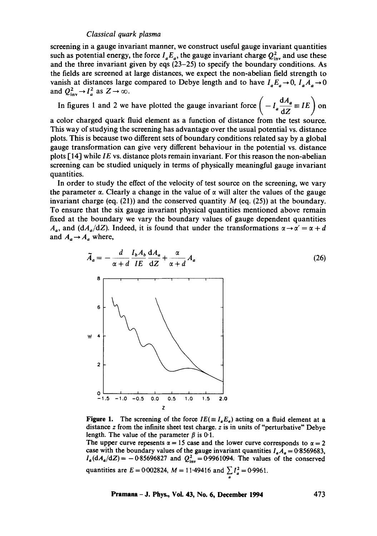screening in a gauge invariant manner, we construct useful gauge invariant quantities such as potential energy, the force  $I_aE_a$ , the gauge invariant charge  $Q_{\text{inv}}^2$  and use these and the three invariant given by eqs  $(23-25)$  to specify the boundary conditions. As the fields are screened at large distances, we expect the non-abelian field strength to vanish at distances large compared to Debye length and to have  $I_a E_a \rightarrow 0$ ,  $I_a A_a \rightarrow 0$ and  $Q_{inv}^2 \rightarrow I_a^2$  as  $Z \rightarrow \infty$ .

In figures 1 and 2 we have plotted the gauge invariant force  $\left(-l_a \frac{dA_a}{dz}\equiv IE\right)$  on

a color charged quark fluid element as a function of distance from the test source. This way of studying the screening has advantage over the usual potential vs. distance plots. This is because two different sets of boundary conditions related say by a global gauge transformation can give very different behaviour in the potential vs. distance plots [14] while *IE* vs. distance plots remain invariant. For this reason the non-abelian screening can be studied uniquely in terms of physically meaningful gauge invariant quantities.

In order to study the effect of the velocity of test source on the screening, we vary the parameter  $\alpha$ . Clearly a change in the value of  $\alpha$  will alter the values of the gauge invariant charge (eq.  $(21)$ ) and the conserved quantity M (eq.  $(25)$ ) at the boundary. To ensure that the six gauge invariant physical quantities mentioned above remain fixed at the boundary we vary the boundary values of gauge dependent quantities  $A_{\alpha}$ , and *(dA<sub>a</sub>/dZ)*. Indeed, it is found that under the transformations  $\alpha \rightarrow \alpha' = \alpha + d$ and  $A_a \rightarrow A_a$  where,

*"4a-- d IbA b dA a+ ~t +d IE dZ o~+d Aa* (26) *8 , , , ua 4*  0 I I I I I I - .5 -1.0 -0.5 0.0 0.5 1,0 1.5 **2.0**  Z

**Figure 1.** The screening of the force  $IE(\equiv I_a E_a)$  acting on a fluid element at a distance z from the infinite sheet test charge, z is in units of "perturbative" Debye length. The value of the parameter  $\beta$  is 0.1.

The upper curve repesents  $\alpha = 15$  case and the lower curve corresponds to  $\alpha = 2$ case with the boundary values of the gauge invariant quantities  $I_a A_a = 0.8569683$ ,  $I_a(dA_a/dZ) = -0.85696827$  and  $Q_{inv}^2 = 0.9961094$ . The values of the conserved quantities are  $E = 0.002824$ ,  $M = 11.49416$  and  $\sum_{a} I_a^2 = 0.9961$ .

**Pramana - J. Phys., Voi. 43, No. 6, December 1994 473**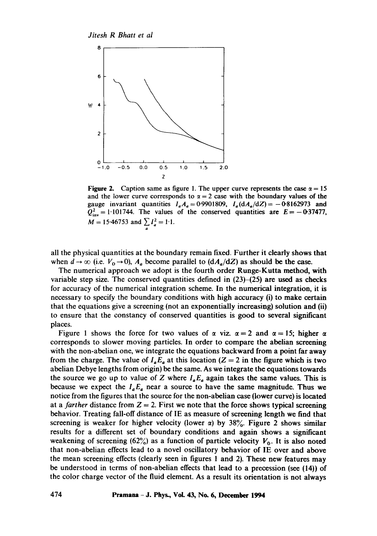

Figure 2. Caption same as figure 1. The upper curve represents the case  $\alpha = 15$ and the lower curve corresponds to  $\alpha = 2$  case with the boundary values of the gauge invariant quantities  $I_aA_a = 0.9901809$ ,  $I_a(dA_a/dZ) = -0.8162973$  and  $Q_{\text{inv}}^2 = 1.101744$ . The values of the conserved quantities are  $E = -0.37477$ ,  $M = 15.46753$  and  $\sum_{a} I_a^2 = 1.1$ .

all the physical quantities at the boundary remain fixed. Further it dearly shows that when  $d \to \infty$  (i.e.  $V_0 \to 0$ ),  $A_a$  become parallel to  $(dA_a/dZ)$  as should be the case.

The numerical approach we adopt is the fourth order Runge-Kutta method, with variable step size. The conserved quantities defined in  $(23)$ – $(25)$  are used as checks for accuracy of the numerical integration scheme. In the numerical integration, it is necessary to specify the boundary conditions with high accuracy (i) to make certain that the equations give a screening (not an exponentially increasing) solution and (ii) to ensure that the constancy of conserved quantities is good to several significant places.

Figure 1 shows the force for two values of  $\alpha$  viz.  $\alpha = 2$  and  $\alpha = 15$ ; higher  $\alpha$ corresponds to slower moving particles. In order to compare the abelian screening with the non-abelian one, we integrate the equations backward from a point far away from the charge. The value of  $I_a E_a$  at this location (Z = 2 in the figure which is two abelian Debye lengths from origin) be the same. As we integrate the equations towards the source we go up to value of Z where  $I_aE_a$  again takes the same values. This is because we expect the  $I_aE_a$  near a source to have the same magnitude. Thus we notice from the figures that the source for the non-abelian case (lower curve) is located at a *farther* distance from  $Z = 2$ . First we note that the force shows typical screening behavior. Treating fall-off distance of IE as measure of screening length we find that screening is weaker for higher velocity (lower  $\alpha$ ) by 38%. Figure 2 shows similar results for a different set of boundary conditions and again shows a significant weakening of screening (62%) as a function of particle velocity  $V_0$ . It is also noted that non-abelian effects lead to a novel oscillatory behavior of IE over and above the mean screening effects (clearly seen in figures 1 and 2). These new features may be understood in terms of non-abelian effects that lead to a precession (see (14)) of the color charge vector of the fluid element. As a result its orientation is not always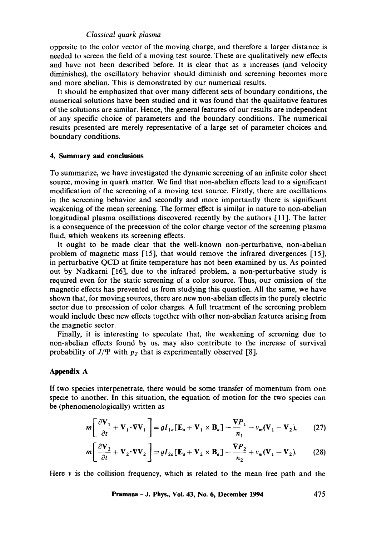opposite to the color vector of the moving charge, and therefore a larger distance is needed to screen the field of a moving test source. These are qualitatively new effects and have not been described before. It is clear that as  $\alpha$  increases (and velocity diminishes), the oscillatory behavior should diminish and screening becomes more and more abelian. This is demonstrated by our numerical results.

It should be emphasized that over many different sets of boundary conditions, the numerical solutions have been studied and it was found that the qualitative features of the solutions are similar. Hence, the general features of our results are independent of any specific choice of parameters and the boundary conditions. The numerical results presented are merely representative of a large set of parameter choices and boundary conditions.

#### **4. Summary and conclusions**

To summarize, we have investigated the dynamic screening of an infinite color sheet source, moving in quark matter. We find that non-abelian effects lead to a significant modification of the screening of a moving test source. Firstly, there are oscillations in the screening behavior and secondly and more importantly there is significant weakening of the mean screening. The former effect is similar in nature to non-abelian longitudinal plasma oscillations discovered recently by the authors [11]. The latter is a consequence of the precession of the color charge vector of the screening plasma fluid, which weakens its screening effects.

It ought to be made clear that the well-known non-perturbative, non-abelian problem of magnetic mass [15], that would remove the infrared divergences [15], in perturbative QCD at finite temperature has not been examined by us. As pointed out by Nadkarni [16], due to the infrared problem, a non-perturbative study is required even for the static screening of a color source. Thus, our omission of the magnetic effects has prevented us from studying this question. All the same, we have shown that, for moving sources, there are new non-abelian effects in the purely electric sector due to precession of color charges. A full treatment of the screening problem would include these new effects together with other non-abelian features arising from the magnetic sector.

Finally, it is interesting to speculate that, the weakening of screening due to non-abelian effects found by us, may also contribute to the increase of survival probability of  $J/\Psi$  with  $p<sub>T</sub>$  that is experimentally observed [8].

## **Appendix A**

If two species interpenetrate, there would be some transfer of momentum from one specie to another. In this situation, the equation of motion for the two species can be (phenomenologically) written as

$$
m\left[\frac{\partial \mathbf{V}_1}{\partial t} + \mathbf{V}_1 \cdot \nabla \mathbf{V}_1\right] = g I_{1a} \left[\mathbf{E}_a + \mathbf{V}_1 \times \mathbf{B}_a\right] - \frac{\nabla P_1}{n_1} - \nu_m (\mathbf{V}_1 - \mathbf{V}_2),\tag{27}
$$

$$
m\left[\frac{\partial \mathbf{V}_2}{\partial t} + \mathbf{V}_2 \cdot \nabla \mathbf{V}_2\right] = gI_{2a}[\mathbf{E}_a + \mathbf{V}_2 \times \mathbf{B}_a] - \frac{\nabla P_2}{n_2} + \nu_m(\mathbf{V}_1 - \mathbf{V}_2). \tag{28}
$$

Here  $\nu$  is the collision frequency, which is related to the mean free path and the